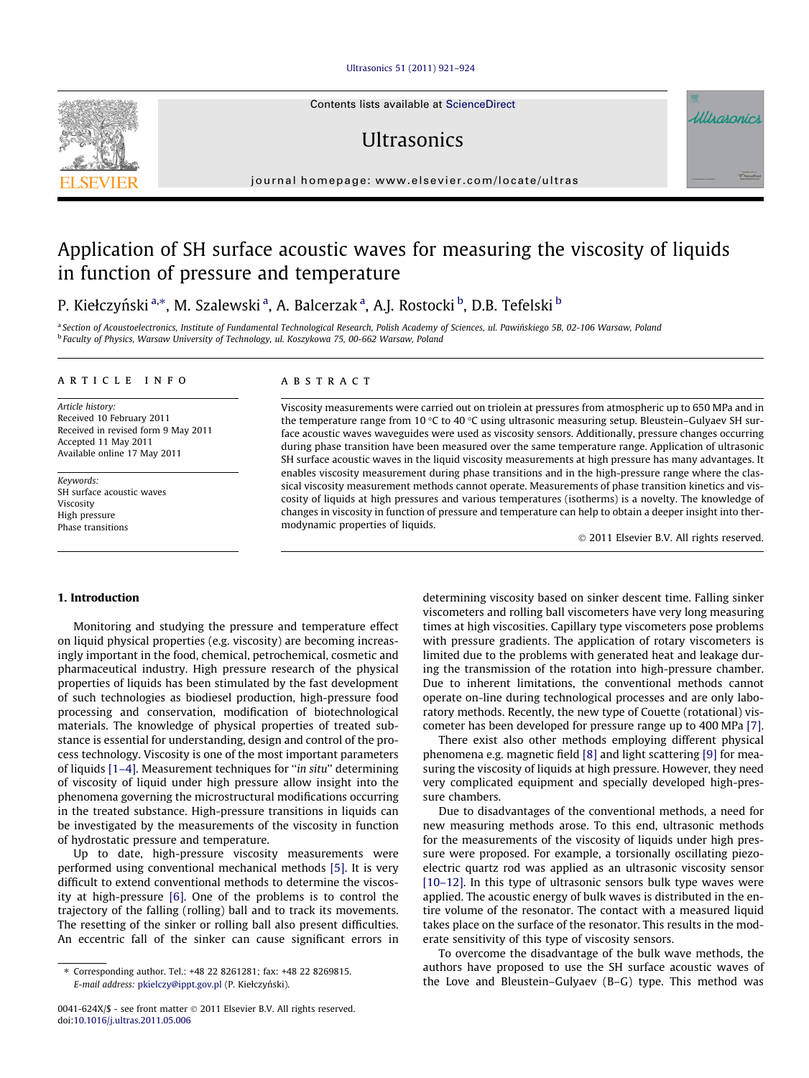## [Ultrasonics 51 \(2011\) 921–924](http://dx.doi.org/10.1016/j.ultras.2011.05.006)

Contents lists available at [ScienceDirect](http://www.sciencedirect.com/science/journal/0041624X)

# **I**IItrasonics

journal homepage: [www.elsevier.com/locate/ultras](http://www.elsevier.com/locate/ultras)

# Application of SH surface acoustic waves for measuring the viscosity of liquids in function of pressure and temperature

P. Kiełczyński <sup>a,</sup>\*, M. Szalewski <sup>a</sup>, A. Balcerzak <sup>a</sup>, A.J. Rostocki <sup>b</sup>, D.B. Tefelski <sup>b</sup>

a Section of Acoustoelectronics, Institute of Fundamental Technological Research, Polish Academy of Sciences, ul. Pawińskiego 5B, 02-106 Warsaw, Poland <sup>b</sup> Faculty of Physics, Warsaw University of Technology, ul. Koszykowa 75, 00-662 Warsaw, Poland

#### article info

Article history: Received 10 February 2011 Received in revised form 9 May 2011 Accepted 11 May 2011 Available online 17 May 2011

Keywords: SH surface acoustic waves Viscosity High pressure Phase transitions

#### **ABSTRACT**

Viscosity measurements were carried out on triolein at pressures from atmospheric up to 650 MPa and in the temperature range from 10  $\degree$ C to 40  $\degree$ C using ultrasonic measuring setup. Bleustein–Gulyaev SH surface acoustic waves waveguides were used as viscosity sensors. Additionally, pressure changes occurring during phase transition have been measured over the same temperature range. Application of ultrasonic SH surface acoustic waves in the liquid viscosity measurements at high pressure has many advantages. It enables viscosity measurement during phase transitions and in the high-pressure range where the classical viscosity measurement methods cannot operate. Measurements of phase transition kinetics and viscosity of liquids at high pressures and various temperatures (isotherms) is a novelty. The knowledge of changes in viscosity in function of pressure and temperature can help to obtain a deeper insight into thermodynamic properties of liquids.

2011 Elsevier B.V. All rights reserved.

Ultrasanice

#### 1. Introduction

Monitoring and studying the pressure and temperature effect on liquid physical properties (e.g. viscosity) are becoming increasingly important in the food, chemical, petrochemical, cosmetic and pharmaceutical industry. High pressure research of the physical properties of liquids has been stimulated by the fast development of such technologies as biodiesel production, high-pressure food processing and conservation, modification of biotechnological materials. The knowledge of physical properties of treated substance is essential for understanding, design and control of the process technology. Viscosity is one of the most important parameters of liquids [\[1–4\]](#page-3-0). Measurement techniques for ''in situ'' determining of viscosity of liquid under high pressure allow insight into the phenomena governing the microstructural modifications occurring in the treated substance. High-pressure transitions in liquids can be investigated by the measurements of the viscosity in function of hydrostatic pressure and temperature.

Up to date, high-pressure viscosity measurements were performed using conventional mechanical methods [\[5\].](#page-3-0) It is very difficult to extend conventional methods to determine the viscosity at high-pressure [\[6\]](#page-3-0). One of the problems is to control the trajectory of the falling (rolling) ball and to track its movements. The resetting of the sinker or rolling ball also present difficulties. An eccentric fall of the sinker can cause significant errors in determining viscosity based on sinker descent time. Falling sinker viscometers and rolling ball viscometers have very long measuring times at high viscosities. Capillary type viscometers pose problems with pressure gradients. The application of rotary viscometers is limited due to the problems with generated heat and leakage during the transmission of the rotation into high-pressure chamber. Due to inherent limitations, the conventional methods cannot operate on-line during technological processes and are only laboratory methods. Recently, the new type of Couette (rotational) viscometer has been developed for pressure range up to 400 MPa [\[7\].](#page-3-0)

There exist also other methods employing different physical phenomena e.g. magnetic field [\[8\]](#page-3-0) and light scattering [\[9\]](#page-3-0) for measuring the viscosity of liquids at high pressure. However, they need very complicated equipment and specially developed high-pressure chambers.

Due to disadvantages of the conventional methods, a need for new measuring methods arose. To this end, ultrasonic methods for the measurements of the viscosity of liquids under high pressure were proposed. For example, a torsionally oscillating piezoelectric quartz rod was applied as an ultrasonic viscosity sensor [\[10–12\]](#page-3-0). In this type of ultrasonic sensors bulk type waves were applied. The acoustic energy of bulk waves is distributed in the entire volume of the resonator. The contact with a measured liquid takes place on the surface of the resonator. This results in the moderate sensitivity of this type of viscosity sensors.

To overcome the disadvantage of the bulk wave methods, the authors have proposed to use the SH surface acoustic waves of the Love and Bleustein–Gulyaev (B–G) type. This method was



<sup>⇑</sup> Corresponding author. Tel.: +48 22 8261281; fax: +48 22 8269815. E-mail address: [pkielczy@ippt.gov.pl](mailto:pkielczy@ippt.gov.pl) (P. Kiełczyński).

<sup>0041-624</sup>X/\$ - see front matter © 2011 Elsevier B.V. All rights reserved. doi[:10.1016/j.ultras.2011.05.006](http://dx.doi.org/10.1016/j.ultras.2011.05.006)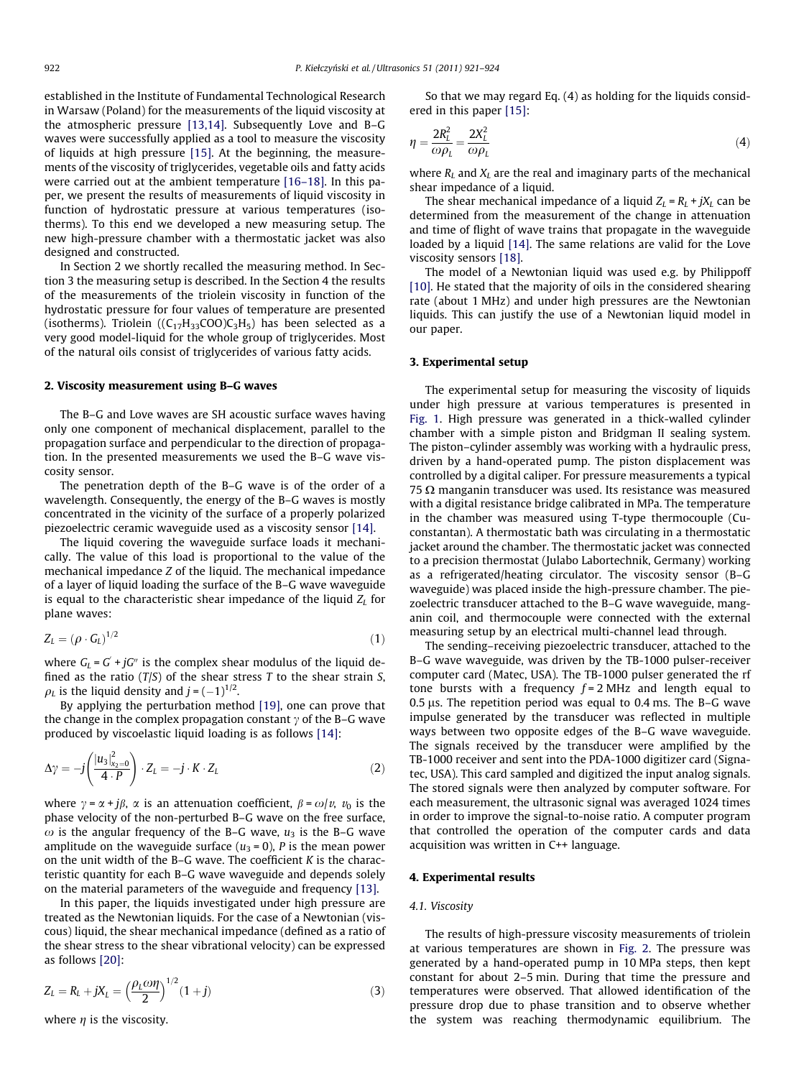established in the Institute of Fundamental Technological Research in Warsaw (Poland) for the measurements of the liquid viscosity at the atmospheric pressure [\[13,14\]](#page-3-0). Subsequently Love and B–G waves were successfully applied as a tool to measure the viscosity of liquids at high pressure [\[15\].](#page-3-0) At the beginning, the measurements of the viscosity of triglycerides, vegetable oils and fatty acids were carried out at the ambient temperature [\[16–18\].](#page-3-0) In this paper, we present the results of measurements of liquid viscosity in function of hydrostatic pressure at various temperatures (isotherms). To this end we developed a new measuring setup. The new high-pressure chamber with a thermostatic jacket was also designed and constructed.

In Section 2 we shortly recalled the measuring method. In Section 3 the measuring setup is described. In the Section 4 the results of the measurements of the triolein viscosity in function of the hydrostatic pressure for four values of temperature are presented (isotherms). Triolein  $((C_{17}H_{33}COO)C_3H_5)$  has been selected as a very good model-liquid for the whole group of triglycerides. Most of the natural oils consist of triglycerides of various fatty acids.

# 2. Viscosity measurement using B–G waves

The B–G and Love waves are SH acoustic surface waves having only one component of mechanical displacement, parallel to the propagation surface and perpendicular to the direction of propagation. In the presented measurements we used the B–G wave viscosity sensor.

The penetration depth of the B–G wave is of the order of a wavelength. Consequently, the energy of the B–G waves is mostly concentrated in the vicinity of the surface of a properly polarized piezoelectric ceramic waveguide used as a viscosity sensor [\[14\].](#page-3-0)

The liquid covering the waveguide surface loads it mechanically. The value of this load is proportional to the value of the mechanical impedance Z of the liquid. The mechanical impedance of a layer of liquid loading the surface of the B–G wave waveguide is equal to the characteristic shear impedance of the liquid  $Z<sub>I</sub>$  for plane waves:

$$
Z_L = (\rho \cdot G_L)^{1/2} \tag{1}
$$

where  $G_L = G' + jG''$  is the complex shear modulus of the liquid defined as the ratio  $(T/S)$  of the shear stress T to the shear strain S,  $\rho_L$  is the liquid density and  $j = (-1)^{1/2}$ .

By applying the perturbation method [\[19\]](#page-3-0), one can prove that the change in the complex propagation constant  $\gamma$  of the B–G wave produced by viscoelastic liquid loading is as follows [\[14\]:](#page-3-0)

$$
\Delta \gamma = -j \left( \frac{|u_3|_{x_2=0}^2}{4 \cdot P} \right) \cdot Z_L = -j \cdot K \cdot Z_L \tag{2}
$$

where  $\gamma = \alpha + j\beta$ ,  $\alpha$  is an attenuation coefficient,  $\beta = \omega/v$ ,  $v_0$  is the phase velocity of the non-perturbed B–G wave on the free surface,  $\omega$  is the angular frequency of the B–G wave,  $u_3$  is the B–G wave amplitude on the waveguide surface  $(u_3 = 0)$ , P is the mean power on the unit width of the B–G wave. The coefficient  $K$  is the characteristic quantity for each B–G wave waveguide and depends solely on the material parameters of the waveguide and frequency [\[13\]](#page-3-0).

In this paper, the liquids investigated under high pressure are treated as the Newtonian liquids. For the case of a Newtonian (viscous) liquid, the shear mechanical impedance (defined as a ratio of the shear stress to the shear vibrational velocity) can be expressed as follows [\[20\]:](#page-3-0)

$$
Z_L = R_L + jX_L = \left(\frac{\rho_L \omega \eta}{2}\right)^{1/2} (1+j) \tag{3}
$$

where  $\eta$  is the viscosity.

So that we may regard Eq. (4) as holding for the liquids considered in this paper [\[15\]:](#page-3-0)

$$
\eta = \frac{2R_L^2}{\omega \rho_L} = \frac{2X_L^2}{\omega \rho_L} \tag{4}
$$

where  $R_L$  and  $X_L$  are the real and imaginary parts of the mechanical shear impedance of a liquid.

The shear mechanical impedance of a liquid  $Z_I = R_I + jX_I$  can be determined from the measurement of the change in attenuation and time of flight of wave trains that propagate in the waveguide loaded by a liquid [\[14\].](#page-3-0) The same relations are valid for the Love viscosity sensors [\[18\]](#page-3-0).

The model of a Newtonian liquid was used e.g. by Philippoff [\[10\]](#page-3-0). He stated that the majority of oils in the considered shearing rate (about 1 MHz) and under high pressures are the Newtonian liquids. This can justify the use of a Newtonian liquid model in our paper.

### 3. Experimental setup

The experimental setup for measuring the viscosity of liquids under high pressure at various temperatures is presented in [Fig. 1.](#page-2-0) High pressure was generated in a thick-walled cylinder chamber with a simple piston and Bridgman II sealing system. The piston–cylinder assembly was working with a hydraulic press, driven by a hand-operated pump. The piston displacement was controlled by a digital caliper. For pressure measurements a typical 75  $\Omega$  manganin transducer was used. Its resistance was measured with a digital resistance bridge calibrated in MPa. The temperature in the chamber was measured using T-type thermocouple (Cuconstantan). A thermostatic bath was circulating in a thermostatic jacket around the chamber. The thermostatic jacket was connected to a precision thermostat (Julabo Labortechnik, Germany) working as a refrigerated/heating circulator. The viscosity sensor (B–G waveguide) was placed inside the high-pressure chamber. The piezoelectric transducer attached to the B–G wave waveguide, manganin coil, and thermocouple were connected with the external measuring setup by an electrical multi-channel lead through.

The sending–receiving piezoelectric transducer, attached to the B–G wave waveguide, was driven by the TB-1000 pulser-receiver computer card (Matec, USA). The TB-1000 pulser generated the rf tone bursts with a frequency  $f = 2$  MHz and length equal to  $0.5 \,\mu s$ . The repetition period was equal to 0.4 ms. The B–G wave impulse generated by the transducer was reflected in multiple ways between two opposite edges of the B–G wave waveguide. The signals received by the transducer were amplified by the TB-1000 receiver and sent into the PDA-1000 digitizer card (Signatec, USA). This card sampled and digitized the input analog signals. The stored signals were then analyzed by computer software. For each measurement, the ultrasonic signal was averaged 1024 times in order to improve the signal-to-noise ratio. A computer program that controlled the operation of the computer cards and data acquisition was written in C++ language.

# 4. Experimental results

#### 4.1. Viscosity

The results of high-pressure viscosity measurements of triolein at various temperatures are shown in [Fig. 2.](#page-2-0) The pressure was generated by a hand-operated pump in 10 MPa steps, then kept constant for about 2–5 min. During that time the pressure and temperatures were observed. That allowed identification of the pressure drop due to phase transition and to observe whether the system was reaching thermodynamic equilibrium. The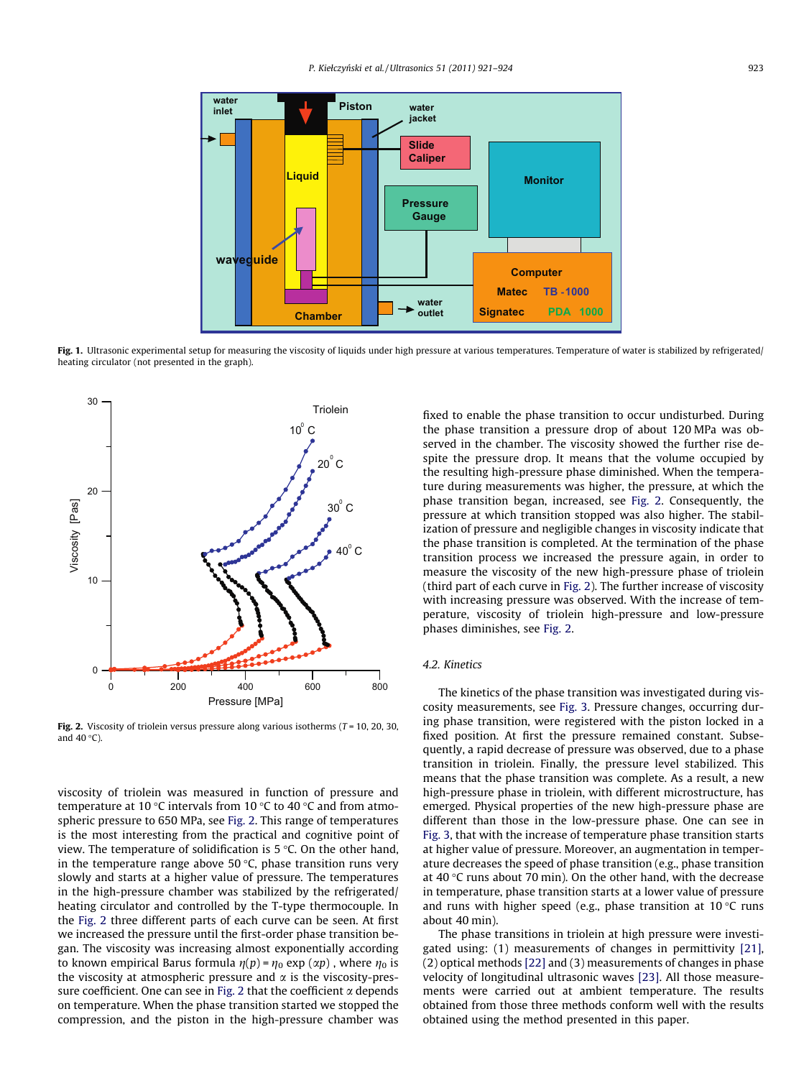<span id="page-2-0"></span>

Fig. 1. Ultrasonic experimental setup for measuring the viscosity of liquids under high pressure at various temperatures. Temperature of water is stabilized by refrigerated/ heating circulator (not presented in the graph).



Fig. 2. Viscosity of triolein versus pressure along various isotherms ( $T = 10$ , 20, 30, and 40 °C).

viscosity of triolein was measured in function of pressure and temperature at 10 °C intervals from 10 °C to 40 °C and from atmospheric pressure to 650 MPa, see Fig. 2. This range of temperatures is the most interesting from the practical and cognitive point of view. The temperature of solidification is 5 °C. On the other hand, in the temperature range above 50 °C, phase transition runs very slowly and starts at a higher value of pressure. The temperatures in the high-pressure chamber was stabilized by the refrigerated/ heating circulator and controlled by the T-type thermocouple. In the Fig. 2 three different parts of each curve can be seen. At first we increased the pressure until the first-order phase transition began. The viscosity was increasing almost exponentially according to known empirical Barus formula  $\eta(p) = \eta_0 \exp(\alpha p)$ , where  $\eta_0$  is the viscosity at atmospheric pressure and  $\alpha$  is the viscosity-pressure coefficient. One can see in Fig. 2 that the coefficient  $\alpha$  depends on temperature. When the phase transition started we stopped the compression, and the piston in the high-pressure chamber was fixed to enable the phase transition to occur undisturbed. During the phase transition a pressure drop of about 120 MPa was observed in the chamber. The viscosity showed the further rise despite the pressure drop. It means that the volume occupied by the resulting high-pressure phase diminished. When the temperature during measurements was higher, the pressure, at which the phase transition began, increased, see Fig. 2. Consequently, the pressure at which transition stopped was also higher. The stabilization of pressure and negligible changes in viscosity indicate that the phase transition is completed. At the termination of the phase transition process we increased the pressure again, in order to measure the viscosity of the new high-pressure phase of triolein (third part of each curve in Fig. 2). The further increase of viscosity with increasing pressure was observed. With the increase of temperature, viscosity of triolein high-pressure and low-pressure phases diminishes, see Fig. 2.

# 4.2. Kinetics

The kinetics of the phase transition was investigated during viscosity measurements, see [Fig. 3.](#page-3-0) Pressure changes, occurring during phase transition, were registered with the piston locked in a fixed position. At first the pressure remained constant. Subsequently, a rapid decrease of pressure was observed, due to a phase transition in triolein. Finally, the pressure level stabilized. This means that the phase transition was complete. As a result, a new high-pressure phase in triolein, with different microstructure, has emerged. Physical properties of the new high-pressure phase are different than those in the low-pressure phase. One can see in [Fig. 3](#page-3-0), that with the increase of temperature phase transition starts at higher value of pressure. Moreover, an augmentation in temperature decreases the speed of phase transition (e.g., phase transition at 40  $\degree$ C runs about 70 min). On the other hand, with the decrease in temperature, phase transition starts at a lower value of pressure and runs with higher speed (e.g., phase transition at 10  $\rm ^{\circ}C$  runs about 40 min).

The phase transitions in triolein at high pressure were investigated using: (1) measurements of changes in permittivity [\[21\],](#page-3-0) (2) optical methods [\[22\]](#page-3-0) and (3) measurements of changes in phase velocity of longitudinal ultrasonic waves [\[23\].](#page-3-0) All those measurements were carried out at ambient temperature. The results obtained from those three methods conform well with the results obtained using the method presented in this paper.